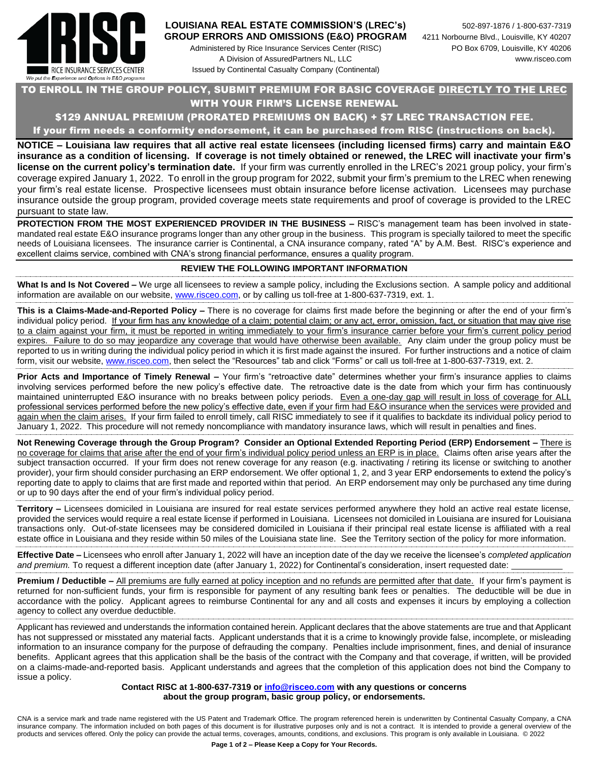

# **LOUISIANA REAL ESTATE COMMISSION'S (LREC's)** 502-897-1876 / 1-800-637-7319

Administered by Rice Insurance Services Center (RISC) PO Box 6709, Louisville, KY 40206 A Division of AssuredPartners NL, LLC www.risceo.com Issued by Continental Casualty Company (Continental)

### TO ENROLL IN THE GROUP POLICY, SUBMIT PREMIUM FOR BASIC COVERAGE DIRECTLY TO THE LREC WITH YOUR FIRM'S LICENSE RENEWAL

### \$129 ANNUAL PREMIUM (PRORATED PREMIUMS ON BACK) + \$7 LREC TRANSACTION FEE.

If your firm needs a conformity endorsement, it can be purchased from RISC (instructions on back).

**NOTICE – Louisiana law requires that all active real estate licensees (including licensed firms) carry and maintain E&O insurance as a condition of licensing. If coverage is not timely obtained or renewed, the LREC will inactivate your firm's license on the current policy's termination date.** If your firm was currently enrolled in the LREC's 2021 group policy, your firm's coverage expired January 1, 2022. To enroll in the group program for 2022, submit your firm's premium to the LREC when renewing your firm's real estate license. Prospective licensees must obtain insurance before license activation. Licensees may purchase insurance outside the group program, provided coverage meets state requirements and proof of coverage is provided to the LREC pursuant to state law.

**PROTECTION FROM THE MOST EXPERIENCED PROVIDER IN THE BUSINESS –** RISC's management team has been involved in statemandated real estate E&O insurance programs longer than any other group in the business. This program is specially tailored to meet the specific needs of Louisiana licensees. The insurance carrier is Continental, a CNA insurance company, rated "A" by A.M. Best. RISC's experience and excellent claims service, combined with CNA's strong financial performance, ensures a quality program.

#### **REVIEW THE FOLLOWING IMPORTANT INFORMATION**

**What Is and Is Not Covered –** We urge all licensees to review a sample policy, including the Exclusions section. A sample policy and additional information are available on our website, [www.risceo.com,](http://www.risceo.com/) or by calling us toll-free at 1-800-637-7319, ext. 1.

**This is a Claims-Made-and-Reported Policy –** There is no coverage for claims first made before the beginning or after the end of your firm's individual policy period. If your firm has any knowledge of a claim; potential claim; or any act, error, omission, fact, or situation that may give rise to a claim against your firm, it must be reported in writing immediately to your firm's insurance carrier before your firm's current policy period expires. Failure to do so may jeopardize any coverage that would have otherwise been available. Any claim under the group policy must be reported to us in writing during the individual policy period in which it is first made against the insured. For further instructions and a notice of claim form, visit our website, [www.risceo.com,](http://www.risceo.com/notice-of-claim-form) then select the "Resources" tab and click "Forms" or call us toll-free at 1-800-637-7319, ext. 2.

**Prior Acts and Importance of Timely Renewal –** Your firm's "retroactive date" determines whether your firm's insurance applies to claims involving services performed before the new policy's effective date. The retroactive date is the date from which your firm has continuously maintained uninterrupted E&O insurance with no breaks between policy periods. Even a one-day gap will result in loss of coverage for ALL professional services performed before the new policy's effective date, even if your firm had E&O insurance when the services were provided and again when the claim arises. If your firm failed to enroll timely, call RISC immediately to see if it qualifies to backdate its individual policy period to January 1, 2022. This procedure will not remedy noncompliance with mandatory insurance laws, which will result in penalties and fines.

**Not Renewing Coverage through the Group Program? Consider an Optional Extended Reporting Period (ERP) Endorsement –** There is no coverage for claims that arise after the end of your firm's individual policy period unless an ERP is in place. Claims often arise years after the subject transaction occurred. If your firm does not renew coverage for any reason (e.g. inactivating / retiring its license or switching to another provider), your firm should consider purchasing an ERP endorsement. We offer optional 1, 2, and 3 year ERP endorsements to extend the policy's reporting date to apply to claims that are first made and reported within that period. An ERP endorsement may only be purchased any time during or up to 90 days after the end of your firm's individual policy period.

**Territory –** Licensees domiciled in Louisiana are insured for real estate services performed anywhere they hold an active real estate license, provided the services would require a real estate license if performed in Louisiana. Licensees not domiciled in Louisiana are insured for Louisiana transactions only. Out-of-state licensees may be considered domiciled in Louisiana if their principal real estate license is affiliated with a real estate office in Louisiana and they reside within 50 miles of the Louisiana state line. See the Territory section of the policy for more information.

**Effective Date –** Licensees who enroll after January 1, 2022 will have an inception date of the day we receive the licensee's *completed application and premium.* To request a different inception date (after January 1, 2022) for Continental's consideration, insert requested date:

**Premium / Deductible –** All premiums are fully earned at policy inception and no refunds are permitted after that date. If your firm's payment is returned for non-sufficient funds, your firm is responsible for payment of any resulting bank fees or penalties. The deductible will be due in accordance with the policy. Applicant agrees to reimburse Continental for any and all costs and expenses it incurs by employing a collection agency to collect any overdue deductible.

Applicant has reviewed and understands the information contained herein. Applicant declares that the above statements are true and that Applicant has not suppressed or misstated any material facts. Applicant understands that it is a crime to knowingly provide false, incomplete, or misleading information to an insurance company for the purpose of defrauding the company. Penalties include imprisonment, fines, and denial of insurance benefits. Applicant agrees that this application shall be the basis of the contract with the Company and that coverage, if written, will be provided on a claims-made-and-reported basis. Applicant understands and agrees that the completion of this application does not bind the Company to issue a policy.

#### **Contact RISC at 1-800-637-7319 or [info@risceo.com](mailto:info@risceo.com) with any questions or concerns about the group program, basic group policy, or endorsements.**

CNA is a service mark and trade name registered with the US Patent and Trademark Office. The program referenced herein is underwritten by Continental Casualty Company, a CNA insurance company. The information included on both pages of this document is for illustrative purposes only and is not a contract. It is intended to provide a general overview of the products and services offered. Only the policy can provide the actual terms, coverages, amounts, conditions, and exclusions. This program is only available in Louisiana. © 2022